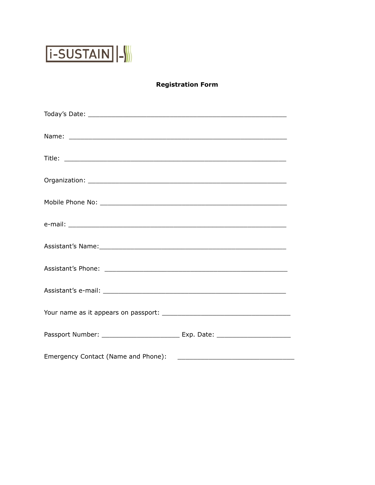

## **Registration Form**

| Passport Number: ________________________________ Exp. Date: ___________________ |
|----------------------------------------------------------------------------------|
|                                                                                  |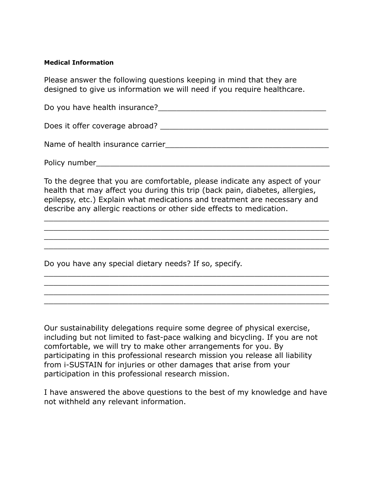## **Medical Information**

Please answer the following questions keeping in mind that they are designed to give us information we will need if you require healthcare.

Do you have health insurance? The state of the state of the state of the state of the state of the state of the state of the state of the state of the state of the state of the state of the state of the state of the state

Does it offer coverage abroad? \_\_\_\_\_\_\_\_\_\_\_\_\_\_\_\_\_\_\_\_\_\_\_\_\_\_\_\_\_\_\_\_\_\_\_\_

Name of health insurance carrier\_\_\_\_\_\_\_\_\_\_\_\_\_\_\_\_\_\_\_\_\_\_\_\_\_\_\_\_\_\_\_\_\_\_\_

Policy number\_\_\_\_\_\_\_\_\_\_\_\_\_\_\_\_\_\_\_\_\_\_\_\_\_\_\_\_\_\_\_\_\_\_\_\_\_\_\_\_\_\_\_\_\_\_\_\_\_\_

To the degree that you are comfortable, please indicate any aspect of your health that may affect you during this trip (back pain, diabetes, allergies, epilepsy, etc.) Explain what medications and treatment are necessary and describe any allergic reactions or other side effects to medication.

\_\_\_\_\_\_\_\_\_\_\_\_\_\_\_\_\_\_\_\_\_\_\_\_\_\_\_\_\_\_\_\_\_\_\_\_\_\_\_\_\_\_\_\_\_\_\_\_\_\_\_\_\_\_\_\_\_\_\_\_\_ \_\_\_\_\_\_\_\_\_\_\_\_\_\_\_\_\_\_\_\_\_\_\_\_\_\_\_\_\_\_\_\_\_\_\_\_\_\_\_\_\_\_\_\_\_\_\_\_\_\_\_\_\_\_\_\_\_\_\_\_\_ \_\_\_\_\_\_\_\_\_\_\_\_\_\_\_\_\_\_\_\_\_\_\_\_\_\_\_\_\_\_\_\_\_\_\_\_\_\_\_\_\_\_\_\_\_\_\_\_\_\_\_\_\_\_\_\_\_\_\_\_\_ \_\_\_\_\_\_\_\_\_\_\_\_\_\_\_\_\_\_\_\_\_\_\_\_\_\_\_\_\_\_\_\_\_\_\_\_\_\_\_\_\_\_\_\_\_\_\_\_\_\_\_\_\_\_\_\_\_\_\_\_\_

\_\_\_\_\_\_\_\_\_\_\_\_\_\_\_\_\_\_\_\_\_\_\_\_\_\_\_\_\_\_\_\_\_\_\_\_\_\_\_\_\_\_\_\_\_\_\_\_\_\_\_\_\_\_\_\_\_\_\_\_\_ \_\_\_\_\_\_\_\_\_\_\_\_\_\_\_\_\_\_\_\_\_\_\_\_\_\_\_\_\_\_\_\_\_\_\_\_\_\_\_\_\_\_\_\_\_\_\_\_\_\_\_\_\_\_\_\_\_\_\_\_\_ \_\_\_\_\_\_\_\_\_\_\_\_\_\_\_\_\_\_\_\_\_\_\_\_\_\_\_\_\_\_\_\_\_\_\_\_\_\_\_\_\_\_\_\_\_\_\_\_\_\_\_\_\_\_\_\_\_\_\_\_\_ \_\_\_\_\_\_\_\_\_\_\_\_\_\_\_\_\_\_\_\_\_\_\_\_\_\_\_\_\_\_\_\_\_\_\_\_\_\_\_\_\_\_\_\_\_\_\_\_\_\_\_\_\_\_\_\_\_\_\_\_\_

Do you have any special dietary needs? If so, specify.

Our sustainability delegations require some degree of physical exercise, including but not limited to fast-pace walking and bicycling. If you are not comfortable, we will try to make other arrangements for you. By participating in this professional research mission you release all liability from i-SUSTAIN for injuries or other damages that arise from your participation in this professional research mission.

I have answered the above questions to the best of my knowledge and have not withheld any relevant information.